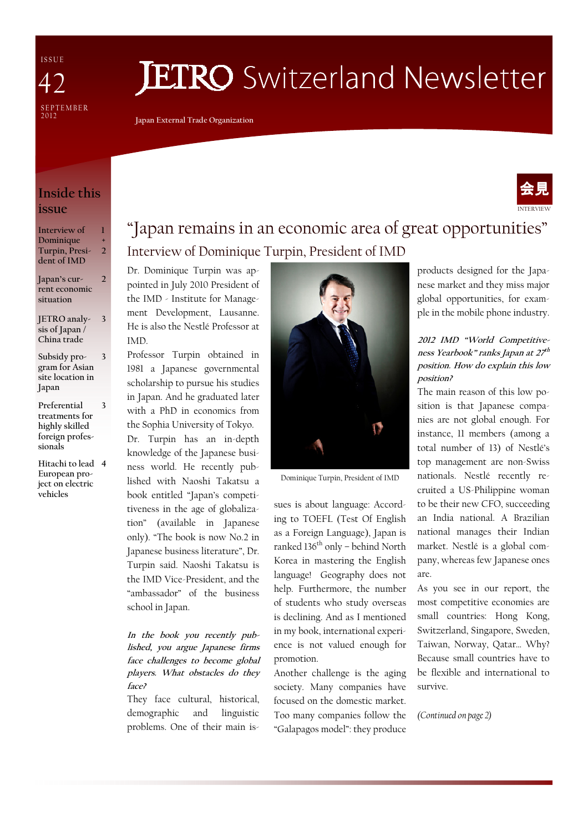I S S U E SE P T E M B E R<br>2012 47

# **JETRO** Switzerland Newsletter

Japan External Trade Organization

### Inside this issue

| Interview of   |               |
|----------------|---------------|
| Dominique      | $\div$        |
| Turpin, Presi- | $\mathcal{L}$ |
| dent of IMD    |               |
|                |               |

Japan's current economic situation

 $\overline{\phantom{a}}$ 

3

JETRO analysis of Japan / China trade

Subsidy program for Asian site location in Japan 3

- Preferential treatments for highly skilled foreign professionals 3
- Hitachi to lead 4 European project on electric **vehicles**

# "Japan remains in an economic area of great opportunities" Interview of Dominique Turpin, President of IMD

Dr. Dominique Turpin was appointed in July 2010 President of the IMD - Institute for Management Development, Lausanne. He is also the Nestlé Professor at IMD.

Professor Turpin obtained in 1981 a Japanese governmental scholarship to pursue his studies in Japan. And he graduated later with a PhD in economics from the Sophia University of Tokyo.

Dr. Turpin has an in-depth knowledge of the Japanese business world. He recently published with Naoshi Takatsu a book entitled "Japan's competitiveness in the age of globalization" (available in Japanese only). "The book is now No.2 in Japanese business literature", Dr. Turpin said. Naoshi Takatsu is the IMD Vice-President, and the "ambassador" of the business school in Japan.

#### In the book you recently published, you argue Japanese firms face challenges to become global players. What obstacles do they face?

They face cultural, historical, demographic and linguistic problems. One of their main is-



Dominique Turpin, President of IMD

sues is about language: According to TOEFL (Test Of English as a Foreign Language), Japan is ranked  $136<sup>th</sup>$  only – behind North Korea in mastering the English language! Geography does not help. Furthermore, the number of students who study overseas is declining. And as I mentioned in my book, international experience is not valued enough for promotion.

Another challenge is the aging society. Many companies have focused on the domestic market. Too many companies follow the "Galapagos model": they produce products designed for the Japanese market and they miss major global opportunities, for example in the mobile phone industry.

INTERVIEW

会見

#### 2012 IMD "World Competitiveness Yearbook" ranks Japan at 27<sup>th</sup> position. How do explain this low position?

The main reason of this low position is that Japanese companies are not global enough. For instance, 11 members (among a total number of 13) of Nestlé's top management are non-Swiss nationals. Nestlé recently recruited a US-Philippine woman to be their new CFO, succeeding an India national. A Brazilian national manages their Indian market. Nestlé is a global company, whereas few Japanese ones are.

As you see in our report, the most competitive economies are small countries: Hong Kong, Switzerland, Singapore, Sweden, Taiwan, Norway, Qatar… Why? Because small countries have to be flexible and international to survive.

(Continued on page 2)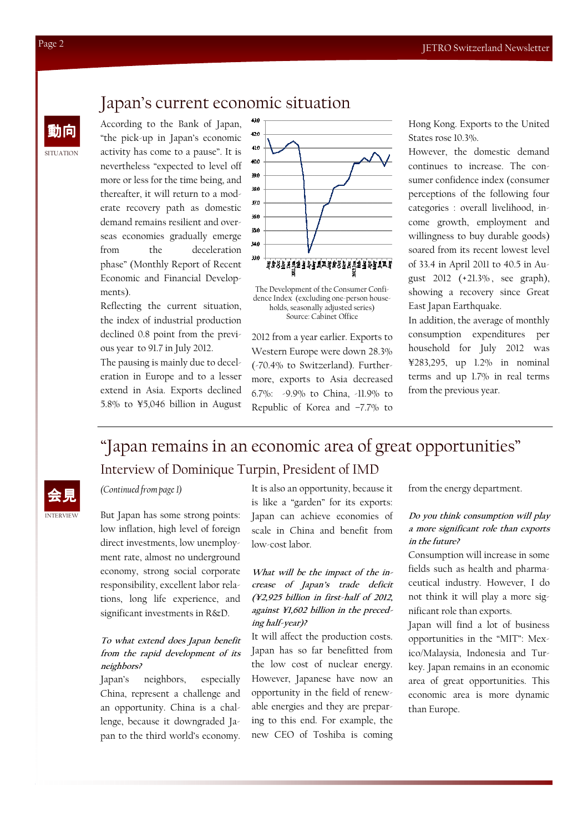### Japan's current economic situation

According to the Bank of Japan, "the pick-up in Japan's economic activity has come to a pause". It is nevertheless "expected to level off more or less for the time being, and thereafter, it will return to a moderate recovery path as domestic demand remains resilient and overseas economies gradually emerge from the deceleration phase" (Monthly Report of Recent Economic and Financial Developments).

Reflecting the current situation, the index of industrial production declined 0.8 point from the previous year to 91.7 in July 2012.

The pausing is mainly due to deceleration in Europe and to a lesser extend in Asia. Exports declined 5.8% to ¥5,046 billion in August



The Development of the Consumer Confidence Index (excluding one-person households, seasonally adjusted series) Source: Cabinet Office

2012 from a year earlier. Exports to Western Europe were down 28.3% (-70.4% to Switzerland). Furthermore, exports to Asia decreased 6.7%: -9.9% to China, -11.9% to Republic of Korea and –7.7% to

Hong Kong. Exports to the United States rose 10.3%.

However, the domestic demand continues to increase. The consumer confidence index (consumer perceptions of the following four categories : overall livelihood, income growth, employment and willingness to buy durable goods) soared from its recent lowest level of 33.4 in April 2011 to 40.5 in August 2012 (+21.3% , see graph), showing a recovery since Great East Japan Earthquake.

In addition, the average of monthly consumption expenditures per household for July 2012 was ¥283,295, up 1.2% in nominal terms and up 1.7% in real terms from the previous year.

## "Japan remains in an economic area of great opportunities" Interview of Dominique Turpin, President of IMD

#### (Continued from page 1)

But Japan has some strong points: low inflation, high level of foreign direct investments, low unemployment rate, almost no underground economy, strong social corporate responsibility, excellent labor relations, long life experience, and significant investments in R&D.

#### To what extend does Japan benefit from the rapid development of its neighbors?

Japan's neighbors, especially China, represent a challenge and an opportunity. China is a challenge, because it downgraded Japan to the third world's economy. It is also an opportunity, because it is like a "garden" for its exports: Japan can achieve economies of scale in China and benefit from low-cost labor.

What will be the impact of the increase of Japan's trade deficit (¥2,925 billion in first-half of 2012, against ¥1,602 billion in the preceding half-year)?

It will affect the production costs. Japan has so far benefitted from the low cost of nuclear energy. However, Japanese have now an opportunity in the field of renewable energies and they are preparing to this end. For example, the new CEO of Toshiba is coming

from the energy department.

#### Do you think consumption will play a more significant role than exports in the future?

Consumption will increase in some fields such as health and pharmaceutical industry. However, I do not think it will play a more significant role than exports.

Japan will find a lot of business opportunities in the "MIT": Mexico/Malaysia, Indonesia and Turkey. Japan remains in an economic area of great opportunities. This economic area is more dynamic than Europe.

SITUATION

INTERVIEW 会見

動向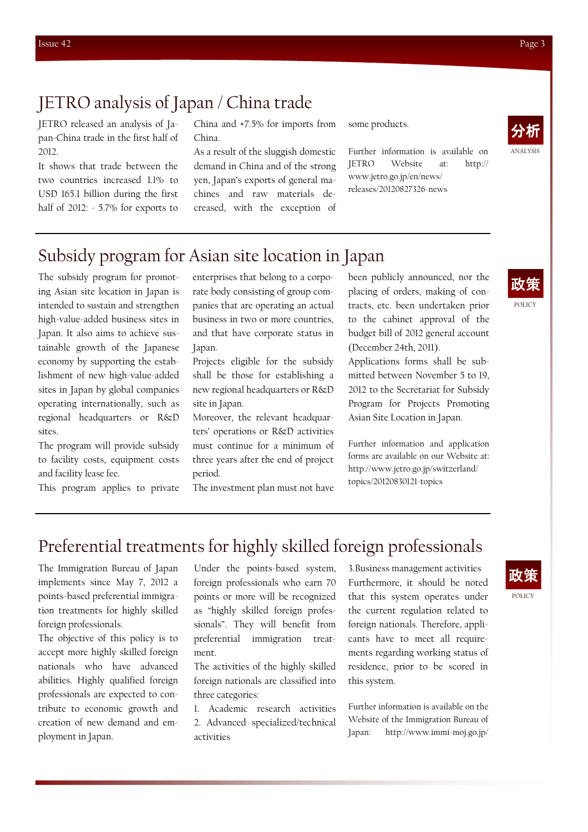### JETRO analysis of Japan / China trade

JETRO released an analysis of Japan-China trade in the first half of 2012.

It shows that trade between the two countries increased 1.1% to USD 165.1 billion during the first half of 2012: - 5.7% for exports to

China and +7.5% for imports from China.

As a result of the sluggish domestic demand in China and of the strong yen, Japan's exports of general machines and raw materials decreased, with the exception of some products.

Further information is available on JETRO Website at: http:// www.jetro.go.jp/en/news/ releases/20120827326-news



# Subsidy program for Asian site location in Japan

The subsidy program for promoting Asian site location in Japan is intended to sustain and strengthen high-value-added business sites in Japan. It also aims to achieve sustainable growth of the Japanese economy by supporting the establishment of new high-value-added sites in Japan by global companies operating internationally, such as regional headquarters or R&D sites.

The program will provide subsidy to facility costs, equipment costs and facility lease fee.

This program applies to private

enterprises that belong to a corporate body consisting of group companies that are operating an actual business in two or more countries, and that have corporate status in Japan.

Projects eligible for the subsidy shall be those for establishing a new regional headquarters or R&D site in Japan.

Moreover, the relevant headquarters' operations or R&D activities must continue for a minimum of three years after the end of project period.

The investment plan must not have

been publicly announced, nor the placing of orders, making of contracts, etc. been undertaken prior to the cabinet approval of the budget bill of 2012 general account (December 24th, 2011).

Applications forms shall be submitted between November 5 to 19, 2012 to the Secretariat for Subsidy Program for Projects Promoting Asian Site Location in Japan.

Further information and application forms are available on our Website at: http://www.jetro.go.jp/switzerland/ topics/20120830121-topics



### Preferential treatments for highly skilled foreign professionals

The Immigration Bureau of Japan implements since May 7, 2012 a points-based preferential immigration treatments for highly skilled foreign professionals.

The objective of this policy is to accept more highly skilled foreign nationals who have advanced abilities. Highly qualified foreign professionals are expected to contribute to economic growth and creation of new demand and employment in Japan.

Under the points-based system, foreign professionals who earn 70 points or more will be recognized as "highly skilled foreign professionals". They will benefit from preferential immigration treatment.

The activities of the highly skilled foreign nationals are classified into three categories:

1. Academic research activities 2. Advanced specialized/technical activities

3.Business management activities Furthermore, it should be noted that this system operates under the current regulation related to foreign nationals. Therefore, applicants have to meet all requirements regarding working status of residence, prior to be scored in this system.

Further information is available on the Website of the Immigration Bureau of Japan: http://www.immi-moj.go.jp/